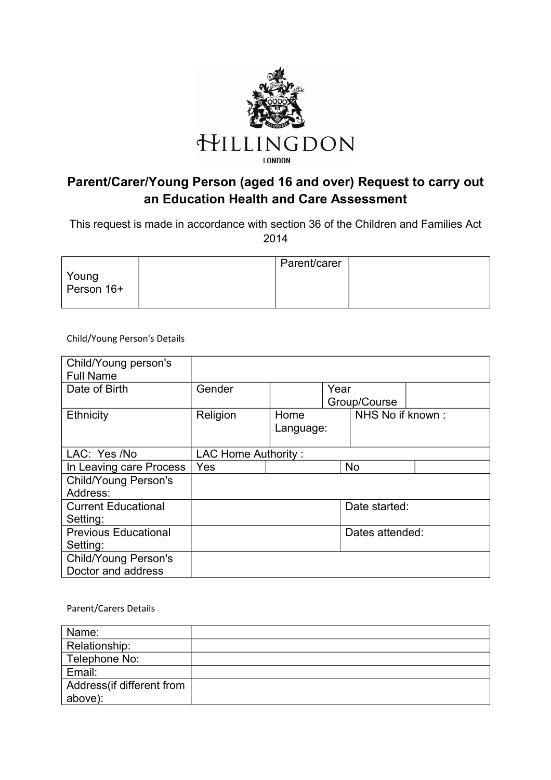

## **Parent/Carer/Young Person (aged 16 and over) Request to carry out an Education Health and Care Assessment**

This request is made in accordance with section 36 of the Children and Families Act 2014

|                     | Parent/carer |  |
|---------------------|--------------|--|
| Young<br>Person 16+ |              |  |
|                     |              |  |

Child/Young Person's Details

| Child/Young person's<br><b>Full Name</b> |                     |                                   |               |                  |  |
|------------------------------------------|---------------------|-----------------------------------|---------------|------------------|--|
| Date of Birth                            | Gender<br>Year      |                                   |               |                  |  |
| Ethnicity                                | Religion            | Group/Course<br>Home<br>Language: |               | NHS No if known: |  |
| LAC: Yes /No                             | LAC Home Authority: |                                   |               |                  |  |
| In Leaving care Process                  | Yes                 |                                   |               | <b>No</b>        |  |
| <b>Child/Young Person's</b>              |                     |                                   |               |                  |  |
| Address:                                 |                     |                                   |               |                  |  |
| <b>Current Educational</b>               |                     |                                   | Date started: |                  |  |
| Setting:                                 |                     |                                   |               |                  |  |
| <b>Previous Educational</b>              |                     |                                   |               | Dates attended:  |  |
| Setting:                                 |                     |                                   |               |                  |  |
| <b>Child/Young Person's</b>              |                     |                                   |               |                  |  |
| Doctor and address                       |                     |                                   |               |                  |  |

Parent/Carers Details

| Name:                      |  |
|----------------------------|--|
| Relationship:              |  |
| Telephone No:              |  |
| Email:                     |  |
| Address (if different from |  |
| above):                    |  |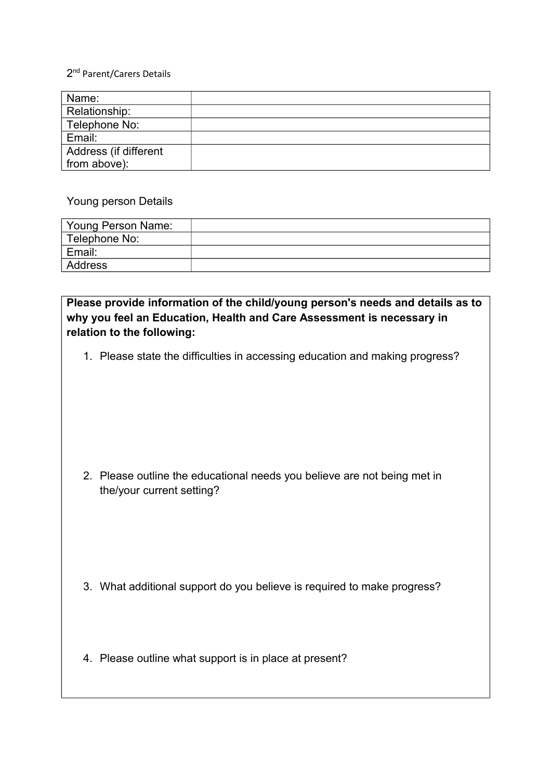#### 2<sup>nd</sup> Parent/Carers Details

| Name:                 |  |
|-----------------------|--|
| Relationship:         |  |
| Telephone No:         |  |
| Email:                |  |
| Address (if different |  |
| from above):          |  |

#### Young person Details

| Young Person Name: |  |
|--------------------|--|
| Telephone No:      |  |
| Email:             |  |
| Address            |  |

### **Please provide information of the child/young person's needs and details as to why you feel an Education, Health and Care Assessment is necessary in relation to the following:**

1. Please state the difficulties in accessing education and making progress?

2. Please outline the educational needs you believe are not being met in the/your current setting?

- 3. What additional support do you believe is required to make progress?
- 4. Please outline what support is in place at present?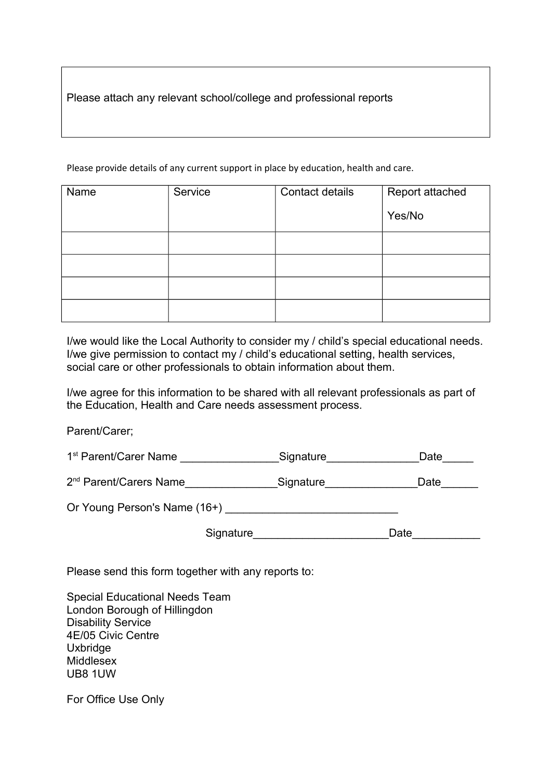Please attach any relevant school/college and professional reports

Please provide details of any current support in place by education, health and care.

| Name | Service | Contact details | Report attached |
|------|---------|-----------------|-----------------|
|      |         |                 | Yes/No          |
|      |         |                 |                 |
|      |         |                 |                 |
|      |         |                 |                 |
|      |         |                 |                 |

I/we would like the Local Authority to consider my / child's special educational needs. I/we give permission to contact my / child's educational setting, health services, social care or other professionals to obtain information about them.

I/we agree for this information to be shared with all relevant professionals as part of the Education, Health and Care needs assessment process.

Parent/Carer;

1<sup>st</sup> Parent/Carer Name \_\_\_\_\_\_\_\_\_\_\_\_\_\_\_\_\_\_Signature\_\_\_\_\_\_\_\_\_\_\_\_\_\_\_\_\_\_\_Date\_\_\_\_\_\_

2<sup>nd</sup> Parent/Carers Name\_\_\_\_\_\_\_\_\_\_\_\_\_\_\_\_Signature\_\_\_\_\_\_\_\_\_\_\_\_\_\_\_\_\_Date\_\_\_\_\_\_\_

Or Young Person's Name (16+)

Signature\_\_\_\_\_\_\_\_\_\_\_\_\_\_\_\_\_\_\_\_\_\_\_\_\_\_\_\_\_\_Date\_\_\_\_\_\_\_\_

Please send this form together with any reports to:

Special Educational Needs Team London Borough of Hillingdon Disability Service 4E/05 Civic Centre Uxbridge Middlesex UB8 1UW

For Office Use Only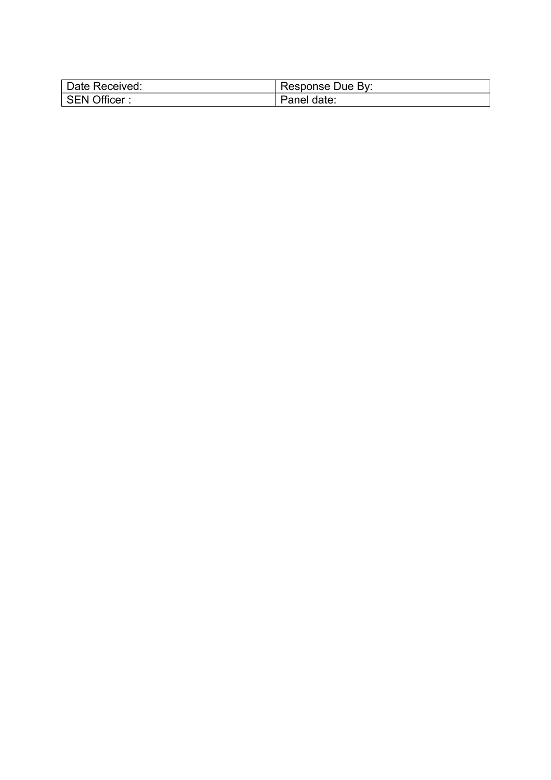| Date Received: | Response Due By: |
|----------------|------------------|
| SEN Officer:   | Panel date:      |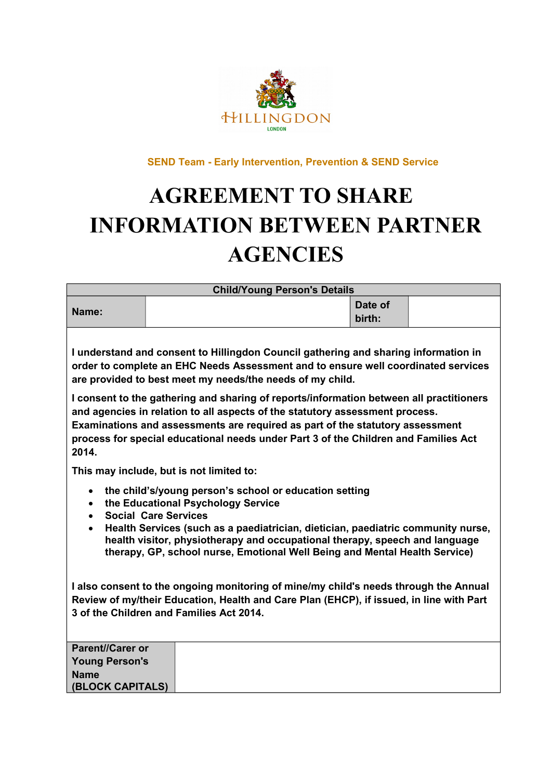

 **SEND Team - Early Intervention, Prevention & SEND Service** 

# **AGREEMENT TO SHARE INFORMATION BETWEEN PARTNER AGENCIES**

| <b>Child/Young Person's Details</b>                                                                                                                                                                                                                                                                                                                                                                                                                                                                                                                                                               |                                          |  |                   |  |
|---------------------------------------------------------------------------------------------------------------------------------------------------------------------------------------------------------------------------------------------------------------------------------------------------------------------------------------------------------------------------------------------------------------------------------------------------------------------------------------------------------------------------------------------------------------------------------------------------|------------------------------------------|--|-------------------|--|
| Name:                                                                                                                                                                                                                                                                                                                                                                                                                                                                                                                                                                                             |                                          |  | Date of<br>birth: |  |
| I understand and consent to Hillingdon Council gathering and sharing information in<br>order to complete an EHC Needs Assessment and to ensure well coordinated services<br>are provided to best meet my needs/the needs of my child.<br>I consent to the gathering and sharing of reports/information between all practitioners<br>and agencies in relation to all aspects of the statutory assessment process.<br>Examinations and assessments are required as part of the statutory assessment<br>process for special educational needs under Part 3 of the Children and Families Act<br>2014. |                                          |  |                   |  |
|                                                                                                                                                                                                                                                                                                                                                                                                                                                                                                                                                                                                   | This may include, but is not limited to: |  |                   |  |
| the child's/young person's school or education setting<br>$\bullet$<br>the Educational Psychology Service<br>$\bullet$<br><b>Social Care Services</b><br>$\bullet$<br>Health Services (such as a paediatrician, dietician, paediatric community nurse,<br>$\bullet$<br>health visitor, physiotherapy and occupational therapy, speech and language<br>therapy, GP, school nurse, Emotional Well Being and Mental Health Service)                                                                                                                                                                  |                                          |  |                   |  |
| I also consent to the ongoing monitoring of mine/my child's needs through the Annual<br>Review of my/their Education, Health and Care Plan (EHCP), if issued, in line with Part<br>3 of the Children and Families Act 2014.                                                                                                                                                                                                                                                                                                                                                                       |                                          |  |                   |  |
| Parent//Carer or                                                                                                                                                                                                                                                                                                                                                                                                                                                                                                                                                                                  |                                          |  |                   |  |
| <b>Young Person's</b>                                                                                                                                                                                                                                                                                                                                                                                                                                                                                                                                                                             |                                          |  |                   |  |
| <b>Name</b><br>(BLOCK CAPITALS)                                                                                                                                                                                                                                                                                                                                                                                                                                                                                                                                                                   |                                          |  |                   |  |
|                                                                                                                                                                                                                                                                                                                                                                                                                                                                                                                                                                                                   |                                          |  |                   |  |